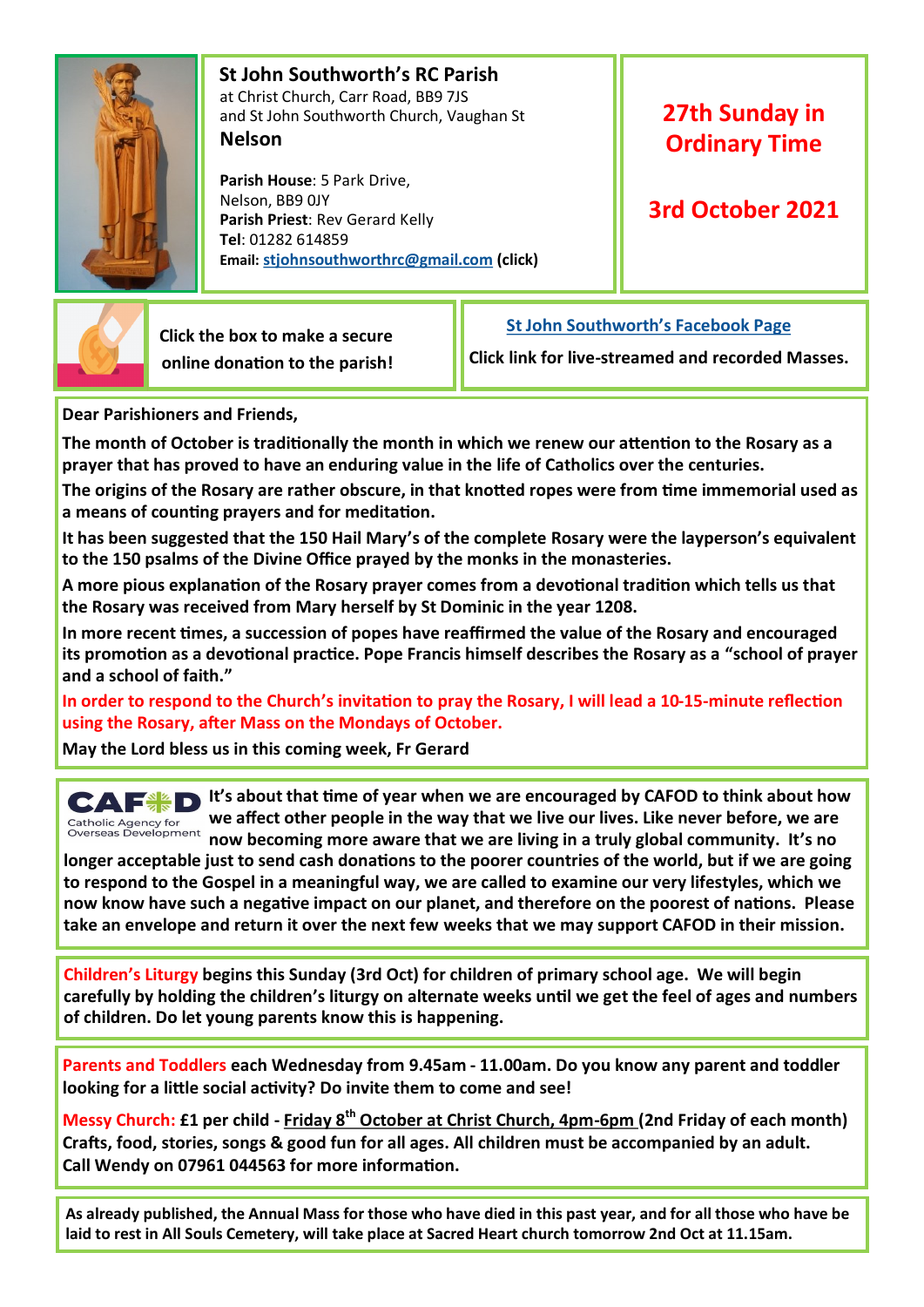

 **St John Southworth's RC Parish** at Christ Church, Carr Road, BB9 7JS and St John Southworth Church, Vaughan St **Nelson**

 **Parish House**: 5 Park Drive, Nelson, BB9 0JY **Parish Priest**: Rev Gerard Kelly **Tel**: 01282 614859 **Email: [stjohnsouthworthrc@gmail.com](mailto:stjohnsouthworth@gmail.com) (click)**

## **27th Sunday in Ordinary Time**

### **3rd October 2021**



 **Click the box to make a secure online donation to the parish!** **[St John Southworth's Facebook Page](https://www.facebook.com/Parish-of-St-John-Southworth-in-Nelson-105718084323986)**

**Click link for live-streamed and recorded Masses.**

**Dear Parishioners and Friends,**

**The month of October is traditionally the month in which we renew our attention to the Rosary as a prayer that has proved to have an enduring value in the life of Catholics over the centuries.**

**The origins of the Rosary are rather obscure, in that knotted ropes were from time immemorial used as a means of counting prayers and for meditation.**

**It has been suggested that the 150 Hail Mary's of the complete Rosary were the layperson's equivalent to the 150 psalms of the Divine Office prayed by the monks in the monasteries.**

**A more pious explanation of the Rosary prayer comes from a devotional tradition which tells us that the Rosary was received from Mary herself by St Dominic in the year 1208.**

**In more recent times, a succession of popes have reaffirmed the value of the Rosary and encouraged its promotion as a devotional practice. Pope Francis himself describes the Rosary as a "school of prayer and a school of faith."**

**In order to respond to the Church's invitation to pray the Rosary, I will lead a 10-15-minute reflection using the Rosary, after Mass on the Mondays of October.** 

**May the Lord bless us in this coming week, Fr Gerard**

**CAF**<sup>**SI**t's about that time of year when we are encouraged by CAFOD to think about how</sup> **we affect other people in the way that we live our lives. Like never before, we are**  Catholic Agency for<br>Overseas Development **now becoming more aware that we are living in a truly global community. It's no** 

**longer acceptable just to send cash donations to the poorer countries of the world, but if we are going to respond to the Gospel in a meaningful way, we are called to examine our very lifestyles, which we now know have such a negative impact on our planet, and therefore on the poorest of nations. Please take an envelope and return it over the next few weeks that we may support CAFOD in their mission.**

**Children's Liturgy begins this Sunday (3rd Oct) for children of primary school age. We will begin carefully by holding the children's liturgy on alternate weeks until we get the feel of ages and numbers of children. Do let young parents know this is happening.**

**Parents and Toddlers each Wednesday from 9.45am - 11.00am. Do you know any parent and toddler looking for a little social activity? Do invite them to come and see!**

**Messy Church: £1 per child - Friday 8th October at Christ Church, 4pm-6pm (2nd Friday of each month) Crafts, food, stories, songs & good fun for all ages. All children must be accompanied by an adult. Call Wendy on 07961 044563 for more information.**

**As already published, the Annual Mass for those who have died in this past year, and for all those who have be laid to rest in All Souls Cemetery, will take place at Sacred Heart church tomorrow 2nd Oct at 11.15am.**